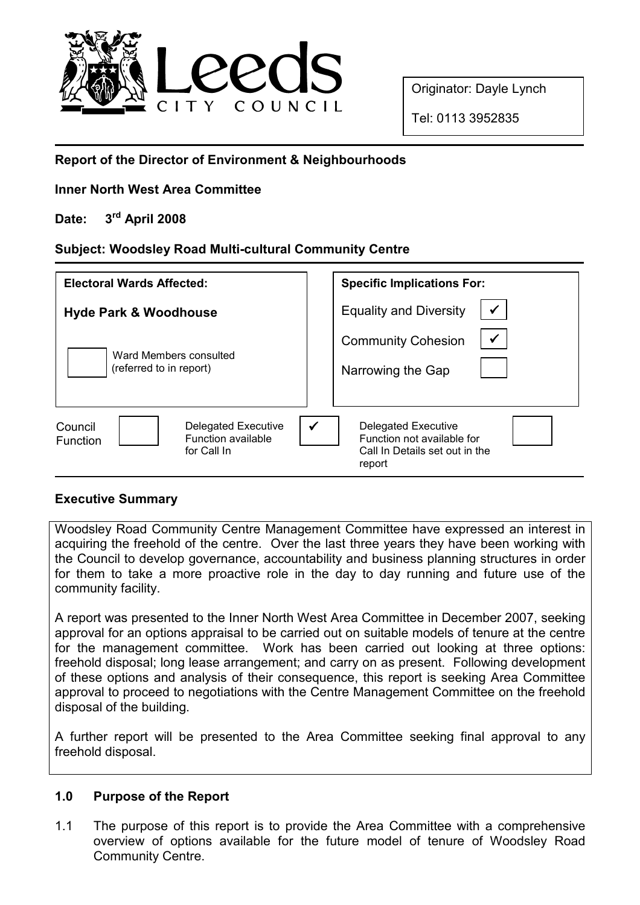

Originator: Dayle Lynch

Tel: 0113 3952835

# Report of the Director of Environment & Neighbourhoods

#### Inner North West Area Committee

# Date: 3<sup>rd</sup> April 2008

# Subject: Woodsley Road Multi-cultural Community Centre

| <b>Electoral Wards Affected:</b>                                                                     | <b>Specific Implications For:</b>                                                                             |
|------------------------------------------------------------------------------------------------------|---------------------------------------------------------------------------------------------------------------|
| <b>Hyde Park &amp; Woodhouse</b>                                                                     | $\checkmark$<br><b>Equality and Diversity</b>                                                                 |
| Ward Members consulted<br>(referred to in report)                                                    | $\checkmark$<br><b>Community Cohesion</b><br>Narrowing the Gap                                                |
| <b>Delegated Executive</b><br>Council<br><b>Function available</b><br><b>Function</b><br>for Call In | $\checkmark$<br>Delegated Executive<br>Function not available for<br>Call In Details set out in the<br>report |

#### Executive Summary

Woodsley Road Community Centre Management Committee have expressed an interest in acquiring the freehold of the centre. Over the last three years they have been working with the Council to develop governance, accountability and business planning structures in order for them to take a more proactive role in the day to day running and future use of the community facility.

A report was presented to the Inner North West Area Committee in December 2007, seeking approval for an options appraisal to be carried out on suitable models of tenure at the centre for the management committee. Work has been carried out looking at three options: freehold disposal; long lease arrangement; and carry on as present. Following development of these options and analysis of their consequence, this report is seeking Area Committee approval to proceed to negotiations with the Centre Management Committee on the freehold disposal of the building.

A further report will be presented to the Area Committee seeking final approval to any freehold disposal.

#### 1.0 Purpose of the Report

1.1 The purpose of this report is to provide the Area Committee with a comprehensive overview of options available for the future model of tenure of Woodsley Road Community Centre.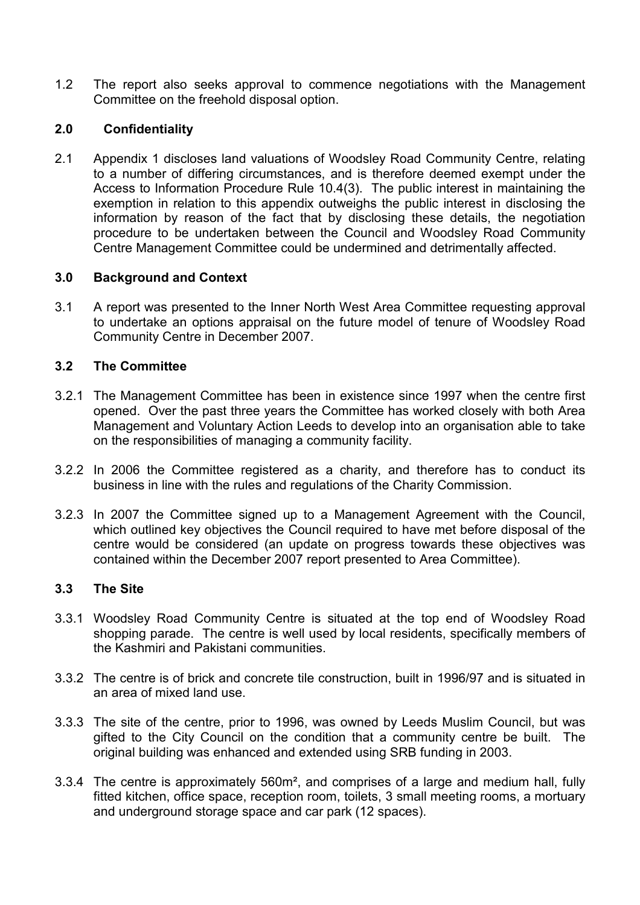1.2 The report also seeks approval to commence negotiations with the Management Committee on the freehold disposal option.

#### 2.0 Confidentiality

2.1 Appendix 1 discloses land valuations of Woodsley Road Community Centre, relating to a number of differing circumstances, and is therefore deemed exempt under the Access to Information Procedure Rule 10.4(3). The public interest in maintaining the exemption in relation to this appendix outweighs the public interest in disclosing the information by reason of the fact that by disclosing these details, the negotiation procedure to be undertaken between the Council and Woodsley Road Community Centre Management Committee could be undermined and detrimentally affected.

#### 3.0 Background and Context

3.1 A report was presented to the Inner North West Area Committee requesting approval to undertake an options appraisal on the future model of tenure of Woodsley Road Community Centre in December 2007.

#### 3.2 The Committee

- 3.2.1 The Management Committee has been in existence since 1997 when the centre first opened. Over the past three years the Committee has worked closely with both Area Management and Voluntary Action Leeds to develop into an organisation able to take on the responsibilities of managing a community facility.
- 3.2.2 In 2006 the Committee registered as a charity, and therefore has to conduct its business in line with the rules and regulations of the Charity Commission.
- 3.2.3 In 2007 the Committee signed up to a Management Agreement with the Council, which outlined key objectives the Council required to have met before disposal of the centre would be considered (an update on progress towards these objectives was contained within the December 2007 report presented to Area Committee).

#### 3.3 The Site

- 3.3.1 Woodsley Road Community Centre is situated at the top end of Woodsley Road shopping parade. The centre is well used by local residents, specifically members of the Kashmiri and Pakistani communities.
- 3.3.2 The centre is of brick and concrete tile construction, built in 1996/97 and is situated in an area of mixed land use.
- 3.3.3 The site of the centre, prior to 1996, was owned by Leeds Muslim Council, but was gifted to the City Council on the condition that a community centre be built. The original building was enhanced and extended using SRB funding in 2003.
- 3.3.4 The centre is approximately 560m², and comprises of a large and medium hall, fully fitted kitchen, office space, reception room, toilets, 3 small meeting rooms, a mortuary and underground storage space and car park (12 spaces).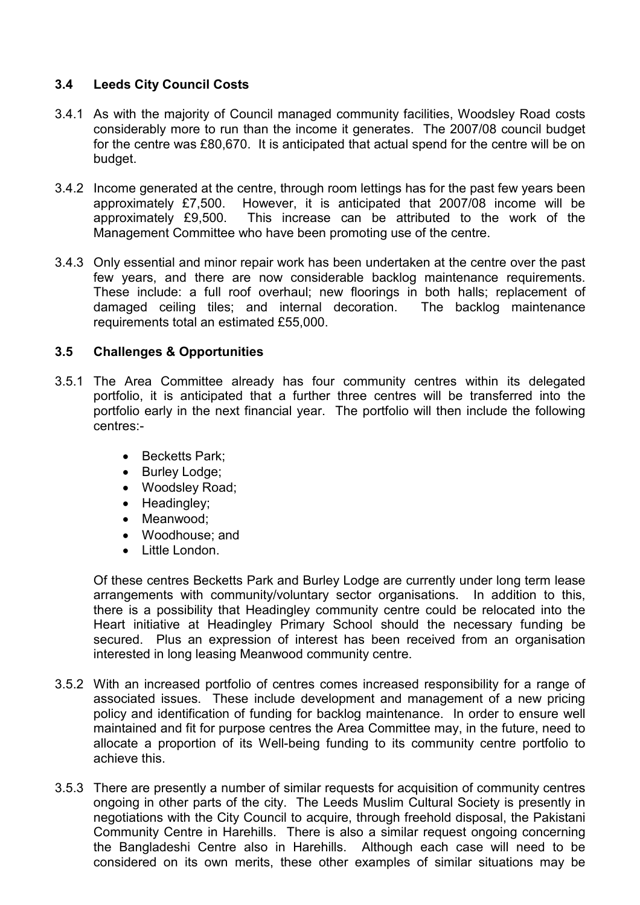# 3.4 Leeds City Council Costs

- 3.4.1 As with the majority of Council managed community facilities, Woodsley Road costs considerably more to run than the income it generates. The 2007/08 council budget for the centre was £80,670. It is anticipated that actual spend for the centre will be on budget.
- 3.4.2 Income generated at the centre, through room lettings has for the past few years been approximately £7,500. However, it is anticipated that 2007/08 income will be approximately £9,500. This increase can be attributed to the work of the Management Committee who have been promoting use of the centre.
- 3.4.3 Only essential and minor repair work has been undertaken at the centre over the past few years, and there are now considerable backlog maintenance requirements. These include: a full roof overhaul; new floorings in both halls; replacement of damaged ceiling tiles; and internal decoration. The backlog maintenance requirements total an estimated £55,000.

# 3.5 Challenges & Opportunities

- 3.5.1 The Area Committee already has four community centres within its delegated portfolio, it is anticipated that a further three centres will be transferred into the portfolio early in the next financial year. The portfolio will then include the following centres:-
	- Becketts Park;
	- Burley Lodge;
	- Woodsley Road;
	- Headingley;
	- Meanwood:
	- Woodhouse; and
	- Little London.

Of these centres Becketts Park and Burley Lodge are currently under long term lease arrangements with community/voluntary sector organisations. In addition to this, there is a possibility that Headingley community centre could be relocated into the Heart initiative at Headingley Primary School should the necessary funding be secured. Plus an expression of interest has been received from an organisation interested in long leasing Meanwood community centre.

- 3.5.2 With an increased portfolio of centres comes increased responsibility for a range of associated issues. These include development and management of a new pricing policy and identification of funding for backlog maintenance. In order to ensure well maintained and fit for purpose centres the Area Committee may, in the future, need to allocate a proportion of its Well-being funding to its community centre portfolio to achieve this.
- 3.5.3 There are presently a number of similar requests for acquisition of community centres ongoing in other parts of the city. The Leeds Muslim Cultural Society is presently in negotiations with the City Council to acquire, through freehold disposal, the Pakistani Community Centre in Harehills. There is also a similar request ongoing concerning the Bangladeshi Centre also in Harehills. Although each case will need to be considered on its own merits, these other examples of similar situations may be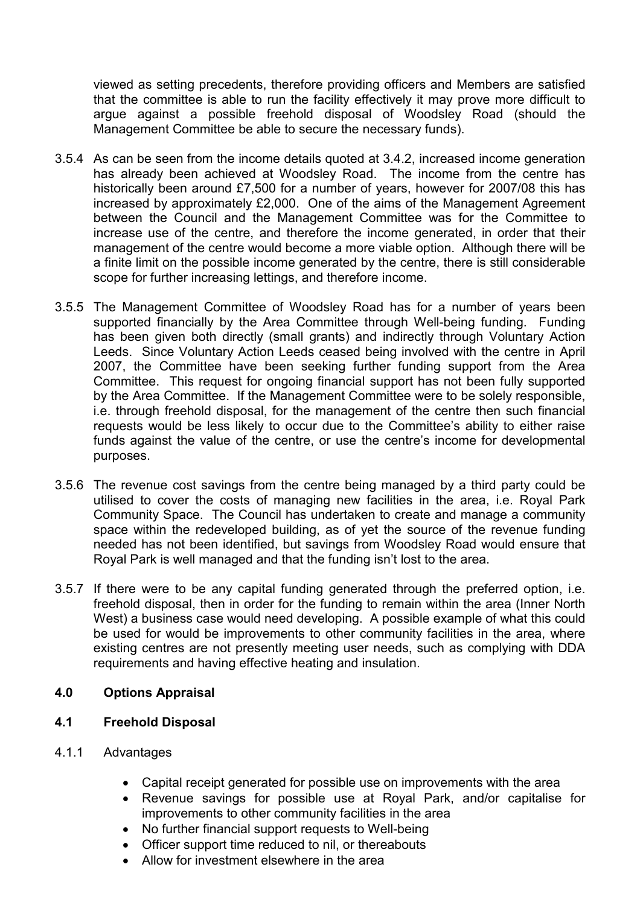viewed as setting precedents, therefore providing officers and Members are satisfied that the committee is able to run the facility effectively it may prove more difficult to argue against a possible freehold disposal of Woodsley Road (should the Management Committee be able to secure the necessary funds).

- 3.5.4 As can be seen from the income details quoted at 3.4.2, increased income generation has already been achieved at Woodsley Road. The income from the centre has historically been around £7,500 for a number of years, however for 2007/08 this has increased by approximately £2,000. One of the aims of the Management Agreement between the Council and the Management Committee was for the Committee to increase use of the centre, and therefore the income generated, in order that their management of the centre would become a more viable option. Although there will be a finite limit on the possible income generated by the centre, there is still considerable scope for further increasing lettings, and therefore income.
- 3.5.5 The Management Committee of Woodsley Road has for a number of years been supported financially by the Area Committee through Well-being funding. Funding has been given both directly (small grants) and indirectly through Voluntary Action Leeds. Since Voluntary Action Leeds ceased being involved with the centre in April 2007, the Committee have been seeking further funding support from the Area Committee. This request for ongoing financial support has not been fully supported by the Area Committee. If the Management Committee were to be solely responsible, i.e. through freehold disposal, for the management of the centre then such financial requests would be less likely to occur due to the Committee's ability to either raise funds against the value of the centre, or use the centre's income for developmental purposes.
- 3.5.6 The revenue cost savings from the centre being managed by a third party could be utilised to cover the costs of managing new facilities in the area, i.e. Royal Park Community Space. The Council has undertaken to create and manage a community space within the redeveloped building, as of yet the source of the revenue funding needed has not been identified, but savings from Woodsley Road would ensure that Royal Park is well managed and that the funding isn't lost to the area.
- 3.5.7 If there were to be any capital funding generated through the preferred option, i.e. freehold disposal, then in order for the funding to remain within the area (Inner North West) a business case would need developing. A possible example of what this could be used for would be improvements to other community facilities in the area, where existing centres are not presently meeting user needs, such as complying with DDA requirements and having effective heating and insulation.

# 4.0 Options Appraisal

#### 4.1 Freehold Disposal

- 4.1.1 Advantages
	- Capital receipt generated for possible use on improvements with the area
	- Revenue savings for possible use at Royal Park, and/or capitalise for improvements to other community facilities in the area
	- No further financial support requests to Well-being
	- Officer support time reduced to nil, or thereabouts
	- Allow for investment elsewhere in the area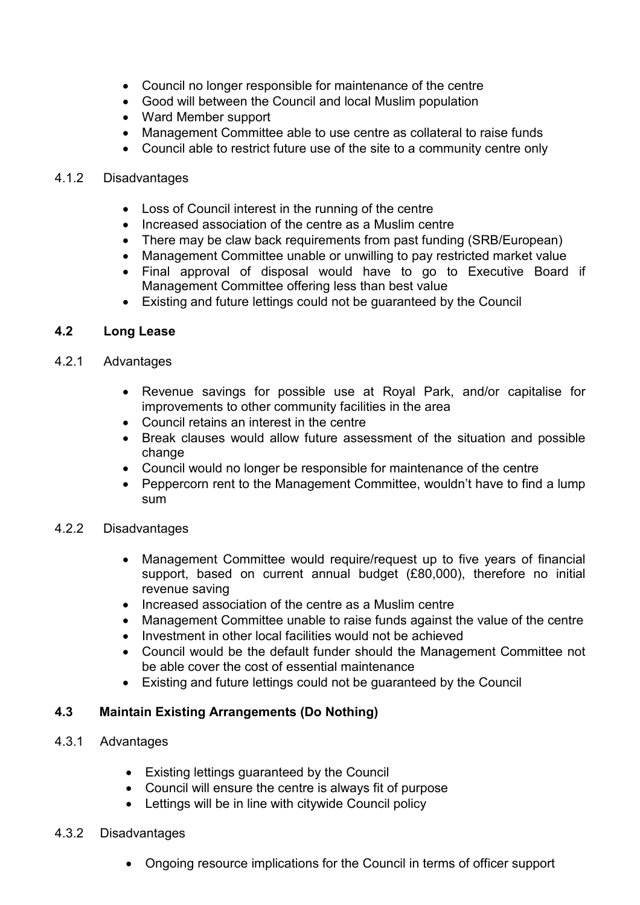- Council no longer responsible for maintenance of the centre
- Good will between the Council and local Muslim population
- Ward Member support
- Management Committee able to use centre as collateral to raise funds
- Council able to restrict future use of the site to a community centre only

# 4.1.2 Disadvantages

- Loss of Council interest in the running of the centre
- Increased association of the centre as a Muslim centre
- There may be claw back requirements from past funding (SRB/European)
- Management Committee unable or unwilling to pay restricted market value
- Final approval of disposal would have to go to Executive Board if Management Committee offering less than best value
- Existing and future lettings could not be guaranteed by the Council

# 4.2 Long Lease

# 4.2.1 Advantages

- Revenue savings for possible use at Royal Park, and/or capitalise for improvements to other community facilities in the area
- Council retains an interest in the centre
- Break clauses would allow future assessment of the situation and possible change
- Council would no longer be responsible for maintenance of the centre
- Peppercorn rent to the Management Committee, wouldn't have to find a lump sum

# 4.2.2 Disadvantages

- Management Committee would require/request up to five years of financial support, based on current annual budget (£80,000), therefore no initial revenue saving
- Increased association of the centre as a Muslim centre
- Management Committee unable to raise funds against the value of the centre
- Investment in other local facilities would not be achieved
- Council would be the default funder should the Management Committee not be able cover the cost of essential maintenance
- Existing and future lettings could not be guaranteed by the Council

# 4.3 Maintain Existing Arrangements (Do Nothing)

- 4.3.1 Advantages
	- Existing lettings guaranteed by the Council
	- Council will ensure the centre is always fit of purpose
	- Lettings will be in line with citywide Council policy
- 4.3.2 Disadvantages
	- Ongoing resource implications for the Council in terms of officer support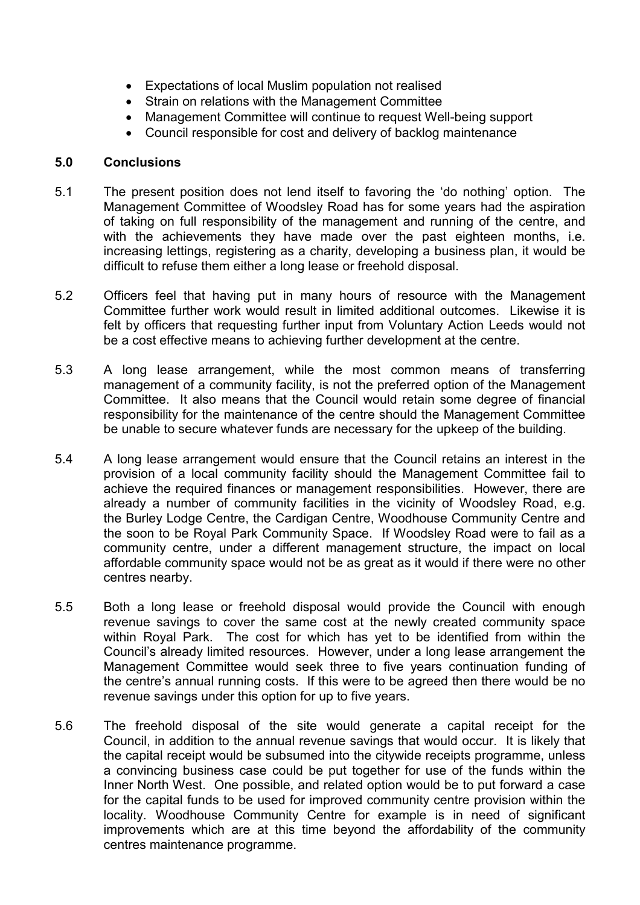- Expectations of local Muslim population not realised
- Strain on relations with the Management Committee
- Management Committee will continue to request Well-being support
- Council responsible for cost and delivery of backlog maintenance

#### 5.0 Conclusions

- 5.1 The present position does not lend itself to favoring the 'do nothing' option. The Management Committee of Woodsley Road has for some years had the aspiration of taking on full responsibility of the management and running of the centre, and with the achievements they have made over the past eighteen months, i.e. increasing lettings, registering as a charity, developing a business plan, it would be difficult to refuse them either a long lease or freehold disposal.
- 5.2 Officers feel that having put in many hours of resource with the Management Committee further work would result in limited additional outcomes. Likewise it is felt by officers that requesting further input from Voluntary Action Leeds would not be a cost effective means to achieving further development at the centre.
- 5.3 A long lease arrangement, while the most common means of transferring management of a community facility, is not the preferred option of the Management Committee. It also means that the Council would retain some degree of financial responsibility for the maintenance of the centre should the Management Committee be unable to secure whatever funds are necessary for the upkeep of the building.
- 5.4 A long lease arrangement would ensure that the Council retains an interest in the provision of a local community facility should the Management Committee fail to achieve the required finances or management responsibilities. However, there are already a number of community facilities in the vicinity of Woodsley Road, e.g. the Burley Lodge Centre, the Cardigan Centre, Woodhouse Community Centre and the soon to be Royal Park Community Space. If Woodsley Road were to fail as a community centre, under a different management structure, the impact on local affordable community space would not be as great as it would if there were no other centres nearby.
- 5.5 Both a long lease or freehold disposal would provide the Council with enough revenue savings to cover the same cost at the newly created community space within Royal Park. The cost for which has yet to be identified from within the Council's already limited resources. However, under a long lease arrangement the Management Committee would seek three to five years continuation funding of the centre's annual running costs. If this were to be agreed then there would be no revenue savings under this option for up to five years.
- 5.6 The freehold disposal of the site would generate a capital receipt for the Council, in addition to the annual revenue savings that would occur. It is likely that the capital receipt would be subsumed into the citywide receipts programme, unless a convincing business case could be put together for use of the funds within the Inner North West. One possible, and related option would be to put forward a case for the capital funds to be used for improved community centre provision within the locality. Woodhouse Community Centre for example is in need of significant improvements which are at this time beyond the affordability of the community centres maintenance programme.